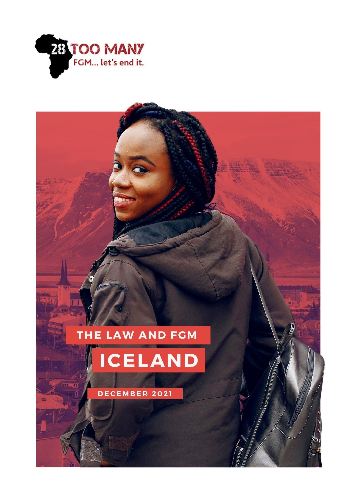

# THE LAW AND FCM ICELAND

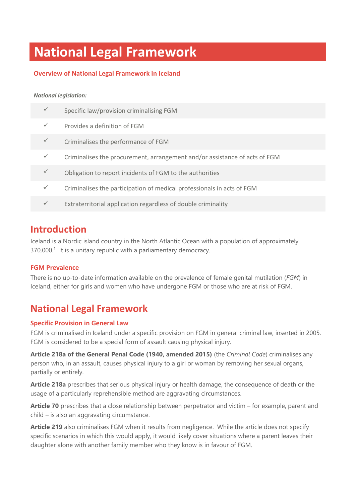# **National Legal Framework**

# **Overview of National Legal Framework in Iceland**

### *National legislation:*

| Specific law/provision criminalising FGM                                   |
|----------------------------------------------------------------------------|
| Provides a definition of FGM                                               |
| Criminalises the performance of FGM                                        |
| Criminalises the procurement, arrangement and/or assistance of acts of FGM |
| Obligation to report incidents of FGM to the authorities                   |
| Criminalises the participation of medical professionals in acts of FGM     |
| Extraterritorial application regardless of double criminality              |
|                                                                            |

# **Introduction**

Iceland is a Nordic island country in the North Atlantic Ocean with a population of approximately 370,000.<sup>1</sup> It is a unitary republic with a parliamentary democracy.

# **FGM Prevalence**

There is no up-to-date information available on the prevalence of female genital mutilation (*FGM*) in Iceland, either for girls and women who have undergone FGM or those who are at risk of FGM.

# **National Legal Framework**

# **Specific Provision in General Law**

FGM is criminalised in Iceland under a specific provision on FGM in general criminal law, inserted in 2005. FGM is considered to be a special form of assault causing physical injury.

**Article 218a of the General Penal Code (1940, amended 2015)** (the *Criminal Code*) criminalises any person who, in an assault, causes physical injury to a girl or woman by removing her sexual organs, partially or entirely.

**Article 218a** prescribes that serious physical injury or health damage, the consequence of death or the usage of a particularly reprehensible method are aggravating circumstances.

**Article 70** prescribes that a close relationship between perpetrator and victim – for example, parent and child – is also an aggravating circumstance.

**Article 219** also criminalises FGM when it results from negligence. While the article does not specify specific scenarios in which this would apply, it would likely cover situations where a parent leaves their daughter alone with another family member who they know is in favour of FGM.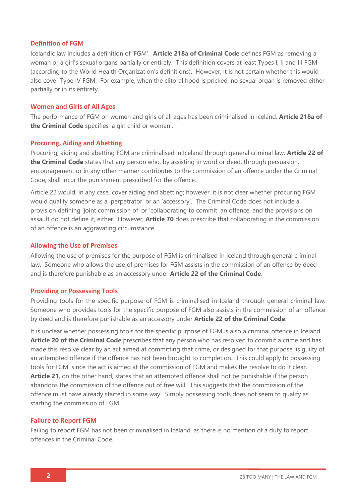### **Definition of FGM**

Icelandic law includes a definition of 'FGM'. **Article 218a of Criminal Code** defines FGM as removing a woman or a girl's sexual organs partially or entirely. This definition covers at least Types I, II and III FGM (according to the World Health Organization's definitions). However, it is not certain whether this would also cover Type IV FGM. For example, when the clitoral hood is pricked, no sexual organ is removed either partially or in its entirety.

### **Women and Girls of All Ages**

The performance of FGM on women and girls of all ages has been criminalised in Iceland. **Article 218a of the Criminal Code** specifies 'a girl child or woman'.

### **Procuring, Aiding and Abetting**

Procuring, aiding and abetting FGM are criminalised in Iceland through general criminal law. **Article 22 of the Criminal Code** states that any person who, by assisting in word or deed, through persuasion, encouragement or in any other manner contributes to the commission of an offence under the Criminal Code, shall incur the punishment prescribed for the offence.

Article 22 would, in any case, cover aiding and abetting; however, it is not clear whether procuring FGM would qualify someone as a 'perpetrator' or an 'accessory'. The Criminal Code does not include a provision defining 'joint commission of' or 'collaborating to commit' an offence, and the provisions on assault do not define it, either. However, **Article 70** does prescribe that collaborating in the commission of an offence is an aggravating circumstance.

### **Allowing the Use of Premises**

Allowing the use of premises for the purpose of FGM is criminalised in Iceland through general criminal law. Someone who allows the use of premises for FGM assists in the commission of an offence by deed and is therefore punishable as an accessory under **Article 22 of the Criminal Code**.

#### **Providing or Possessing Tools**

Providing tools for the specific purpose of FGM is criminalised in Iceland through general criminal law. Someone who provides tools for the specific purpose of FGM also assists in the commission of an offence by deed and is therefore punishable as an accessory under **Article 22 of the Criminal Code**.

It is unclear whether possessing tools for the specific purpose of FGM is also a criminal offence in Iceland. **Article 20 of the Criminal Code** prescribes that any person who has resolved to commit a crime and has made this resolve clear by an act aimed at committing that crime, or designed for that purpose, is guilty of an attempted offence if the offence has not been brought to completion. This could apply to possessing tools for FGM, since the act is aimed at the commission of FGM and makes the resolve to do it clear. **Article 21**, on the other hand, states that an attempted offence shall not be punishable if the person abandons the commission of the offence out of free will. This suggests that the commission of the offence must have already started in some way. Simply possessing tools does not seem to qualify as starting the commission of FGM.

### **Failure to Report FGM**

Failing to report FGM has not been criminalised in Iceland, as there is no mention of a duty to report offences in the Criminal Code.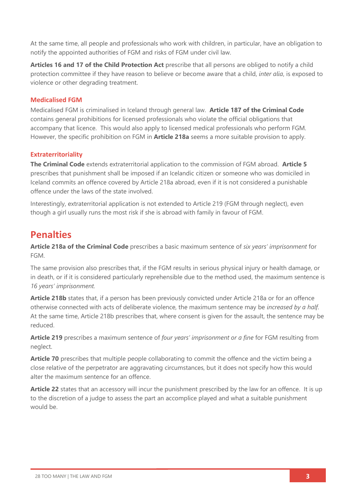At the same time, all people and professionals who work with children, in particular, have an obligation to notify the appointed authorities of FGM and risks of FGM under civil law.

**Articles 16 and 17 of the Child Protection Act** prescribe that all persons are obliged to notify a child protection committee if they have reason to believe or become aware that a child, *inter alia*, is exposed to violence or other degrading treatment.

## **Medicalised FGM**

Medicalised FGM is criminalised in Iceland through general law. **Article 187 of the Criminal Code** contains general prohibitions for licensed professionals who violate the official obligations that accompany that licence. This would also apply to licensed medical professionals who perform FGM. However, the specific prohibition on FGM in **Article 218a** seems a more suitable provision to apply.

## **Extraterritoriality**

**The Criminal Code** extends extraterritorial application to the commission of FGM abroad. **Article 5** prescribes that punishment shall be imposed if an Icelandic citizen or someone who was domiciled in Iceland commits an offence covered by Article 218a abroad, even if it is not considered a punishable offence under the laws of the state involved.

Interestingly, extraterritorial application is not extended to Article 219 (FGM through neglect), even though a girl usually runs the most risk if she is abroad with family in favour of FGM.

# **Penalties**

**Article 218a of the Criminal Code** prescribes a basic maximum sentence of *six years' imprisonment* for FGM.

The same provision also prescribes that, if the FGM results in serious physical injury or health damage, or in death, or if it is considered particularly reprehensible due to the method used, the maximum sentence is *16 years' imprisonment.*

**Article 218b** states that, if a person has been previously convicted under Article 218a or for an offence otherwise connected with acts of deliberate violence, the maximum sentence may be *increased by a half*. At the same time, Article 218b prescribes that, where consent is given for the assault, the sentence may be reduced.

**Article 219** prescribes a maximum sentence of *four years' imprisonment or a fine* for FGM resulting from neglect.

**Article 70** prescribes that multiple people collaborating to commit the offence and the victim being a close relative of the perpetrator are aggravating circumstances, but it does not specify how this would alter the maximum sentence for an offence.

**Article 22** states that an accessory will incur the punishment prescribed by the law for an offence. It is up to the discretion of a judge to assess the part an accomplice played and what a suitable punishment would be.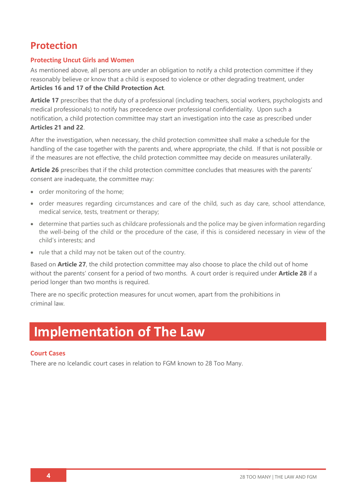# **Protection**

## **Protecting Uncut Girls and Women**

As mentioned above, all persons are under an obligation to notify a child protection committee if they reasonably believe or know that a child is exposed to violence or other degrading treatment, under **Articles 16 and 17 of the Child Protection Act**.

**Article 17** prescribes that the duty of a professional (including teachers, social workers, psychologists and medical professionals) to notify has precedence over professional confidentiality. Upon such a notification, a child protection committee may start an investigation into the case as prescribed under **Articles 21 and 22**.

After the investigation, when necessary, the child protection committee shall make a schedule for the handling of the case together with the parents and, where appropriate, the child. If that is not possible or if the measures are not effective, the child protection committee may decide on measures unilaterally.

**Article 26** prescribes that if the child protection committee concludes that measures with the parents' consent are inadequate, the committee may:

- order monitoring of the home;
- order measures regarding circumstances and care of the child, such as day care, school attendance, medical service, tests, treatment or therapy;
- determine that parties such as childcare professionals and the police may be given information regarding the well-being of the child or the procedure of the case, if this is considered necessary in view of the child's interests; and
- rule that a child may not be taken out of the country.

Based on **Article 27**, the child protection committee may also choose to place the child out of home without the parents' consent for a period of two months. A court order is required under **Article 28** if a period longer than two months is required.

There are no specific protection measures for uncut women, apart from the prohibitions in criminal law.

# **Implementation of The Law**

### **Court Cases**

There are no Icelandic court cases in relation to FGM known to 28 Too Many.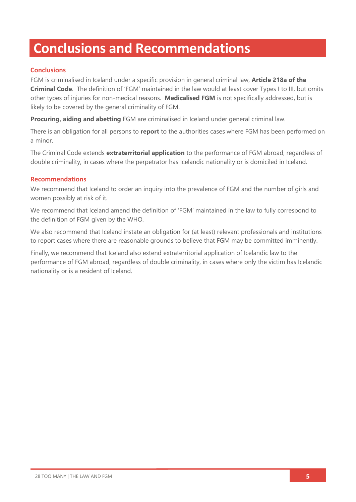# **Conclusions and Recommendations**

# **Conclusions**

FGM is criminalised in Iceland under a specific provision in general criminal law, **Article 218a of the Criminal Code**. The definition of 'FGM' maintained in the law would at least cover Types I to III, but omits other types of injuries for non-medical reasons. **Medicalised FGM** is not specifically addressed, but is likely to be covered by the general criminality of FGM.

**Procuring, aiding and abetting** FGM are criminalised in Iceland under general criminal law.

There is an obligation for all persons to **report** to the authorities cases where FGM has been performed on a minor.

The Criminal Code extends **extraterritorial application** to the performance of FGM abroad, regardless of double criminality, in cases where the perpetrator has Icelandic nationality or is domiciled in Iceland.

## **Recommendations**

We recommend that Iceland to order an inquiry into the prevalence of FGM and the number of girls and women possibly at risk of it.

We recommend that Iceland amend the definition of 'FGM' maintained in the law to fully correspond to the definition of FGM given by the WHO.

We also recommend that Iceland instate an obligation for (at least) relevant professionals and institutions to report cases where there are reasonable grounds to believe that FGM may be committed imminently.

Finally, we recommend that Iceland also extend extraterritorial application of Icelandic law to the performance of FGM abroad, regardless of double criminality, in cases where only the victim has Icelandic nationality or is a resident of Iceland.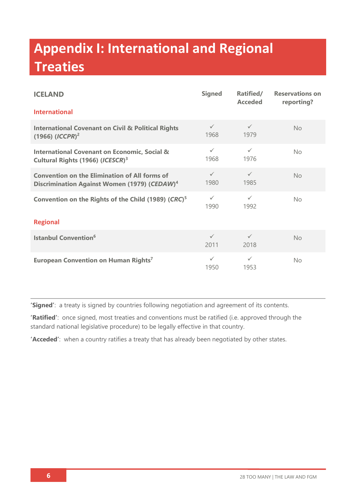# **Appendix I: International and Regional Treaties**

| <b>ICELAND</b>                                                                                                   | <b>Signed</b>        | Ratified/<br><b>Acceded</b> | <b>Reservations on</b><br>reporting? |  |
|------------------------------------------------------------------------------------------------------------------|----------------------|-----------------------------|--------------------------------------|--|
| <b>International</b>                                                                                             |                      |                             |                                      |  |
| <b>International Covenant on Civil &amp; Political Rights</b><br>$(1966)$ $(ICCPR)^2$                            | $\checkmark$<br>1968 | $\checkmark$<br>1979        | No                                   |  |
| <b>International Covenant on Economic, Social &amp;</b><br>Cultural Rights (1966) (ICESCR) <sup>3</sup>          | $\checkmark$<br>1968 | $\checkmark$<br>1976        | No                                   |  |
| <b>Convention on the Elimination of All forms of</b><br>Discrimination Against Women (1979) (CEDAW) <sup>4</sup> | $\checkmark$<br>1980 | $\checkmark$<br>1985        | <b>No</b>                            |  |
| Convention on the Rights of the Child (1989) (CRC) <sup>5</sup>                                                  | $\checkmark$<br>1990 | $\checkmark$<br>1992        | No                                   |  |
| <b>Regional</b>                                                                                                  |                      |                             |                                      |  |
| <b>Istanbul Convention<sup>6</sup></b>                                                                           | $\checkmark$<br>2011 | $\checkmark$<br>2018        | No                                   |  |
| European Convention on Human Rights <sup>7</sup>                                                                 | $\checkmark$<br>1950 | $\checkmark$<br>1953        | <b>No</b>                            |  |

**'Signed'**: a treaty is signed by countries following negotiation and agreement of its contents.

**'Ratified'**: once signed, most treaties and conventions must be ratified (i.e. approved through the standard national legislative procedure) to be legally effective in that country.

**'Acceded'**: when a country ratifies a treaty that has already been negotiated by other states.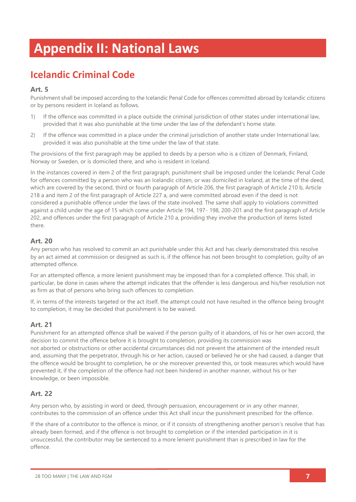# **Appendix II: National Laws**

# **Icelandic Criminal Code**

# **Art. 5**

Punishment shall be imposed according to the Icelandic Penal Code for offences committed abroad by Icelandic citizens or by persons resident in Iceland as follows.

- 1) If the offence was committed in a place outside the criminal jurisdiction of other states under international law, provided that it was also punishable at the time under the law of the defendant's home state.
- 2) If the offence was committed in a place under the criminal jurisdiction of another state under International law, provided it was also punishable at the time under the law of that state.

The provisions of the first paragraph may be applied to deeds by a person who is a citizen of Denmark, Finland, Norway or Sweden, or is domiciled there, and who is resident in Iceland.

In the instances covered in item 2 of the first paragraph, punishment shall be imposed under the Icelandic Penal Code for offences committed by a person who was an Icelandic citizen, or was domiciled in Iceland, at the time of the deed, which are covered by the second, third or fourth paragraph of Article 206, the first paragraph of Article 210 b, Article 218 a and item 2 of the first paragraph of Article 227 a, and were committed abroad even if the deed is not considered a punishable offence under the laws of the state involved. The same shall apply to violations committed against a child under the age of 15 which come under Article 194, 197- 198, 200-201 and the first paragraph of Article 202, and offences under the first paragraph of Article 210 a, providing they involve the production of items listed there.

## **Art. 20**

Any person who has resolved to commit an act punishable under this Act and has clearly demonstrated this resolve by an act aimed at commission or designed as such is, if the offence has not been brought to completion, guilty of an attempted offence.

For an attempted offence, a more lenient punishment may be imposed than for a completed offence. This shall, in particular, be done in cases where the attempt indicates that the offender is less dangerous and his/her resolution not as firm as that of persons who bring such offences to completion.

If, in terms of the interests targeted or the act itself, the attempt could not have resulted in the offence being brought to completion, it may be decided that punishment is to be waived.

# **Art. 21**

Punishment for an attempted offence shall be waived if the person guilty of it abandons, of his or her own accord, the decision to commit the offence before it is brought to completion, providing its commission was not aborted or obstructions or other accidental circumstances did not prevent the attainment of the intended result and, assuming that the perpetrator, through his or her action, caused or believed he or she had caused, a danger that the offence would be brought to completion, he or she moreover prevented this, or took measures which would have prevented it, if the completion of the offence had not been hindered in another manner, without his or her knowledge, or been impossible.

# **Art. 22**

Any person who, by assisting in word or deed, through persuasion, encouragement or in any other manner, contributes to the commission of an offence under this Act shall incur the punishment prescribed for the offence.

If the share of a contributor to the offence is minor, or if it consists of strengthening another person's resolve that has already been formed, and if the offence is not brought to completion or if the intended participation in it is unsuccessful, the contributor may be sentenced to a more lenient punishment than is prescribed in law for the offence.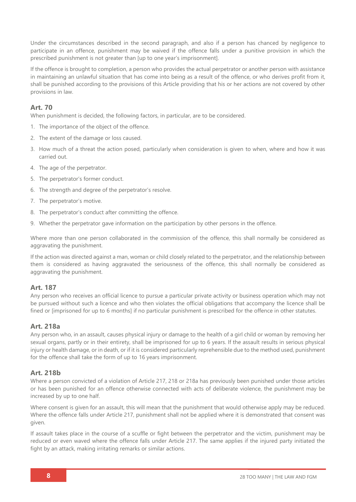Under the circumstances described in the second paragraph, and also if a person has chanced by negligence to participate in an offence, punishment may be waived if the offence falls under a punitive provision in which the prescribed punishment is not greater than [up to one year's imprisonment].

If the offence is brought to completion, a person who provides the actual perpetrator or another person with assistance in maintaining an unlawful situation that has come into being as a result of the offence, or who derives profit from it, shall be punished according to the provisions of this Article providing that his or her actions are not covered by other provisions in law.

### **Art. 70**

When punishment is decided, the following factors, in particular, are to be considered.

- 1. The importance of the object of the offence.
- 2. The extent of the damage or loss caused.
- 3. How much of a threat the action posed, particularly when consideration is given to when, where and how it was carried out.
- 4. The age of the perpetrator.
- 5. The perpetrator's former conduct.
- 6. The strength and degree of the perpetrator's resolve.
- 7. The perpetrator's motive.
- 8. The perpetrator's conduct after committing the offence.
- 9. Whether the perpetrator gave information on the participation by other persons in the offence.

Where more than one person collaborated in the commission of the offence, this shall normally be considered as aggravating the punishment.

If the action was directed against a man, woman or child closely related to the perpetrator, and the relationship between them is considered as having aggravated the seriousness of the offence, this shall normally be considered as aggravating the punishment.

### **Art. 187**

Any person who receives an official licence to pursue a particular private activity or business operation which may not be pursued without such a licence and who then violates the official obligations that accompany the licence shall be fined or [imprisoned for up to 6 months] if no particular punishment is prescribed for the offence in other statutes.

#### **Art. 218a**

Any person who, in an assault, causes physical injury or damage to the health of a girl child or woman by removing her sexual organs, partly or in their entirety, shall be imprisoned for up to 6 years. If the assault results in serious physical injury or health damage, or in death, or if it is considered particularly reprehensible due to the method used, punishment for the offence shall take the form of up to 16 years imprisonment.

### **Art. 218b**

Where a person convicted of a violation of Article 217, 218 or 218a has previously been punished under those articles or has been punished for an offence otherwise connected with acts of deliberate violence, the punishment may be increased by up to one half.

Where consent is given for an assault, this will mean that the punishment that would otherwise apply may be reduced. Where the offence falls under Article 217, punishment shall not be applied where it is demonstrated that consent was given.

If assault takes place in the course of a scuffle or fight between the perpetrator and the victim, punishment may be reduced or even waved where the offence falls under Article 217. The same applies if the injured party initiated the fight by an attack, making irritating remarks or similar actions.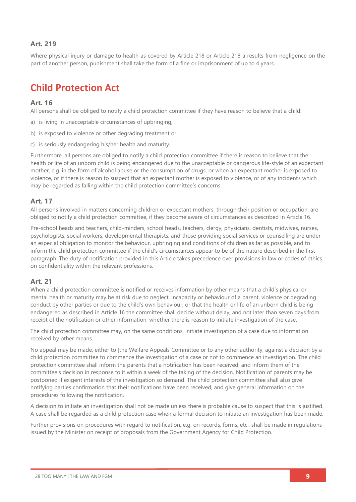# **Art. 219**

Where physical injury or damage to health as covered by Article 218 or Article 218 a results from negligence on the part of another person, punishment shall take the form of a fine or imprisonment of up to 4 years.

# **Child Protection Act**

### **Art. 16**

All persons shall be obliged to notify a child protection committee if they have reason to believe that a child:

- a) is living in unacceptable circumstances of upbringing,
- b) is exposed to violence or other degrading treatment or
- c) is seriously endangering his/her health and maturity.

Furthermore, all persons are obliged to notify a child protection committee if there is reason to believe that the health or life of an unborn child is being endangered due to the unacceptable or dangerous life-style of an expectant mother, e.g. in the form of alcohol abuse or the consumption of drugs, or when an expectant mother is exposed to violence, or if there is reason to suspect that an expectant mother is exposed to violence, or of any incidents which may be regarded as falling within the child protection committee's concerns.

#### **Art. 17**

All persons involved in matters concerning children or expectant mothers, through their position or occupation, are obliged to notify a child protection committee, if they become aware of circumstances as described in Article 16.

Pre-school heads and teachers, child-minders, school heads, teachers, clergy, physicians, dentists, midwives, nurses, psychologists, social workers, developmental therapists, and those providing social services or counselling are under an especial obligation to monitor the behaviour, upbringing and conditions of children as far as possible, and to inform the child protection committee if the child's circumstances appear to be of the nature described in the first paragraph. The duty of notification provided in this Article takes precedence over provisions in law or codes of ethics on confidentiality within the relevant professions.

### **Art. 21**

When a child protection committee is notified or receives information by other means that a child's physical or mental health or maturity may be at risk due to neglect, incapacity or behaviour of a parent, violence or degrading conduct by other parties or due to the child's own behaviour, or that the health or life of an unborn child is being endangered as described in Article 16 the committee shall decide without delay, and not later than seven days from receipt of the notification or other information, whether there is reason to initiate investigation of the case.

The child protection committee may, on the same conditions, initiate investigation of a case due to information received by other means.

No appeal may be made, either to [the Welfare Appeals Committee or to any other authority, against a decision by a child protection committee to commence the investigation of a case or not to commence an investigation. The child protection committee shall inform the parents that a notification has been received, and inform them of the committee's decision in response to it within a week of the taking of the decision. Notification of parents may be postponed if exigent interests of the investigation so demand. The child protection committee shall also give notifying parties confirmation that their notifications have been received, and give general information on the procedures following the notification.

A decision to initiate an investigation shall not be made unless there is probable cause to suspect that this is justified. A case shall be regarded as a child protection case when a formal decision to initiate an investigation has been made.

Further provisions on procedures with regard to notification, e.g. on records, forms, etc., shall be made in regulations issued by the Minister on receipt of proposals from the Government Agency for Child Protection.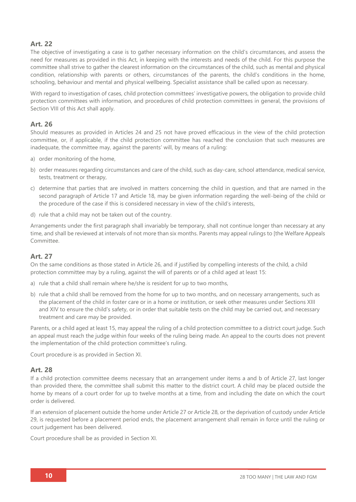## **Art. 22**

The objective of investigating a case is to gather necessary information on the child's circumstances, and assess the need for measures as provided in this Act, in keeping with the interests and needs of the child. For this purpose the committee shall strive to gather the clearest information on the circumstances of the child, such as mental and physical condition, relationship with parents or others, circumstances of the parents, the child's conditions in the home, schooling, behaviour and mental and physical wellbeing. Specialist assistance shall be called upon as necessary.

With regard to investigation of cases, child protection committees' investigative powers, the obligation to provide child protection committees with information, and procedures of child protection committees in general, the provisions of Section VIII of this Act shall apply.

### **Art. 26**

Should measures as provided in Articles 24 and 25 not have proved efficacious in the view of the child protection committee, or, if applicable, if the child protection committee has reached the conclusion that such measures are inadequate, the committee may, against the parents' will, by means of a ruling:

- a) order monitoring of the home,
- b) order measures regarding circumstances and care of the child, such as day-care, school attendance, medical service, tests, treatment or therapy,
- c) determine that parties that are involved in matters concerning the child in question, and that are named in the second paragraph of Article 17 and Article 18, may be given information regarding the well-being of the child or the procedure of the case if this is considered necessary in view of the child's interests,
- d) rule that a child may not be taken out of the country.

Arrangements under the first paragraph shall invariably be temporary, shall not continue longer than necessary at any time, and shall be reviewed at intervals of not more than six months. Parents may appeal rulings to [the Welfare Appeals Committee.

### **Art. 27**

On the same conditions as those stated in Article 26, and if justified by compelling interests of the child, a child protection committee may by a ruling, against the will of parents or of a child aged at least 15:

- a) rule that a child shall remain where he/she is resident for up to two months,
- b) rule that a child shall be removed from the home for up to two months, and on necessary arrangements, such as the placement of the child in foster care or in a home or institution, or seek other measures under Sections XIII and XIV to ensure the child's safety, or in order that suitable tests on the child may be carried out, and necessary treatment and care may be provided.

Parents, or a child aged at least 15, may appeal the ruling of a child protection committee to a district court judge. Such an appeal must reach the judge within four weeks of the ruling being made. An appeal to the courts does not prevent the implementation of the child protection committee's ruling.

Court procedure is as provided in Section XI.

### **Art. 28**

If a child protection committee deems necessary that an arrangement under items a and b of Article 27, last longer than provided there, the committee shall submit this matter to the district court. A child may be placed outside the home by means of a court order for up to twelve months at a time, from and including the date on which the court order is delivered.

If an extension of placement outside the home under Article 27 or Article 28, or the deprivation of custody under Article 29, is requested before a placement period ends, the placement arrangement shall remain in force until the ruling or court judgement has been delivered.

Court procedure shall be as provided in Section XI.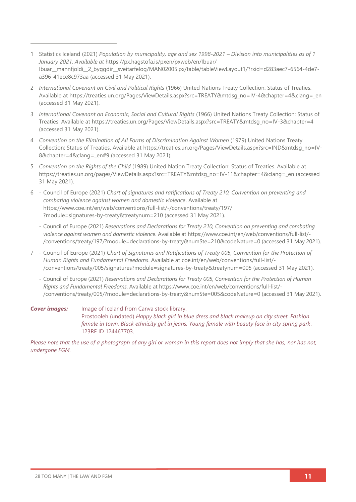- 1 Statistics Iceland (2021) *Population by municipality, age and sex 1998-2021 – Division into municipalities as of 1 January 2021. Available at* [https://px.hagstofa.is/pxen/pxweb/en/Ibuar/](https://px.hagstofa.is/pxen/pxweb/en/Ibuar/%0bIbuar__mannfjoldi__2_byggdir__sveitarfelog/MAN02005.px/table/tableViewLayout1/?rxid=d283aec7-6564-4de7-a396-41ece8c973aa) [Ibuar\\_\\_mannfjoldi\\_\\_2\\_byggdir\\_\\_sveitarfelog/MAN02005.px/table/tableViewLayout1/?rxid=d283aec7-6564-4de7](https://px.hagstofa.is/pxen/pxweb/en/Ibuar/%0bIbuar__mannfjoldi__2_byggdir__sveitarfelog/MAN02005.px/table/tableViewLayout1/?rxid=d283aec7-6564-4de7-a396-41ece8c973aa) [a396-41ece8c973aa](https://px.hagstofa.is/pxen/pxweb/en/Ibuar/%0bIbuar__mannfjoldi__2_byggdir__sveitarfelog/MAN02005.px/table/tableViewLayout1/?rxid=d283aec7-6564-4de7-a396-41ece8c973aa) (accessed 31 May 2021).
- 2 *International Covenant on Civil and Political Rights* (1966) United Nations Treaty Collection: Status of Treaties*.* Available at [https://treaties.un.org/Pages/ViewDetails.aspx?src=TREATY&mtdsg\\_no=IV-4&chapter=4&clang=\\_en](https://treaties.un.org/Pages/ViewDetails.aspx?src=TREATY&mtdsg_no=IV-4&chapter=4&clang=_en) (accessed 31 May 2021).
- 3 *International Covenant on Economic, Social and Cultural Rights* (1966) United Nations Treaty Collection: Status of Treaties. Available at [https://treaties.un.org/Pages/ViewDetails.aspx?src=TREATY&mtdsg\\_no=IV-3&chapter=4](https://treaties.un.org/Pages/ViewDetails.aspx?src=TREATY&mtdsg_no=IV-3&chapter=4) (accessed 31 May 2021).
- 4 *Convention on the Elimination of All Forms of Discrimination Against Women* (1979) United Nations Treaty Collection: Status of Treaties. Available at [https://treaties.un.org/Pages/ViewDetails.aspx?src=IND&mtdsg\\_no=IV-](https://treaties.un.org/Pages/ViewDetails.aspx?src=IND&mtdsg_no=IV-8&chapter=4&clang=_en#9)8&chapter=4&clang= en#9 (accessed 31 May 2021).
- 5 *Convention on the Rights of the Child* (1989) United Nation Treaty Collection: Status of Treaties. Available at [https://treaties.un.org/pages/ViewDetails.aspx?src=TREATY&mtdsg\\_no=IV-11&chapter=4&clang=\\_en](https://treaties.un.org/pages/ViewDetails.aspx?src=TREATY&mtdsg_no=IV-11&chapter=4&clang=_en) (accessed 31 May 2021).
- 6 Council of Europe (2021) *Chart of signatures and ratifications of Treaty 210, Convention on preventing and combating violence against women and domestic violence*. Available at [https://www.coe.int/en/web/conventions/full-list/-/conventions/treaty/197/](https://www.coe.int/en/web/conventions/full-list/-/conventions/treaty/197/?module=signatures-by-treaty&treatynum=210) [?module=signatures-by-treaty&treatynum=210](https://www.coe.int/en/web/conventions/full-list/-/conventions/treaty/197/?module=signatures-by-treaty&treatynum=210) (accessed 31 May 2021).
	- Council of Europe (2021) *Reservations and Declarations for Treaty 210, Convention on preventing and combating violence against women and domestic violence*. Available at [https://www.coe.int/en/web/conventions/full-list/-](https://www.coe.int/en/web/conventions/full-list/-/conventions/treaty/197/?module=declarations-by-treaty&numSte=210&codeNature=0) [/conventions/treaty/197/?module=declarations-by-treaty&numSte=210&codeNature=0](https://www.coe.int/en/web/conventions/full-list/-/conventions/treaty/197/?module=declarations-by-treaty&numSte=210&codeNature=0) (accessed 31 May 2021).
- 7 Council of Europe (2021) *Chart of Signatures and Ratifications of Treaty 005, Convention for the Protection of Human Rights and Fundamental Freedoms*. Available at [coe.int/en/web/conventions/full-list/-](file:///C:/Users/Danica/Desktop/Law%20Reports/coe.int/en/web/conventions/full-list/-/conventions/treaty/005/signatures) [/conventions/treaty/005/signatures?module=signatures-by-treaty&treatynum=005](file:///C:/Users/Danica/Desktop/Law%20Reports/coe.int/en/web/conventions/full-list/-/conventions/treaty/005/signatures) (accessed 31 May 2021).
	- Council of Europe (2021) *Reservations and Declarations for Treaty 005, Convention for the Protection of Human Rights and Fundamental Freedoms*. Available at [https://www.coe.int/en/web/conventions/full-list/-](https://www.coe.int/en/web/conventions/full-list/-/conventions/treaty/005/?module=declarations-by-treaty&numSte=005&codeNature=0) [/conventions/treaty/005/?module=declarations-by-treaty&numSte=005&codeNature=0](https://www.coe.int/en/web/conventions/full-list/-/conventions/treaty/005/?module=declarations-by-treaty&numSte=005&codeNature=0) (accessed 31 May 2021).

*Cover images:* Image of Iceland from Canva stock library. Prostooleh (undated) *Happy black girl in blue dress and black makeup on city street. Fashion female in town. Black ethnicity girl in jeans. Young female with beauty face in city spring park*. 123RF ID 124467703.

*Please note that the use of a photograph of any girl or woman in this report does not imply that she has, nor has not, undergone FGM.*